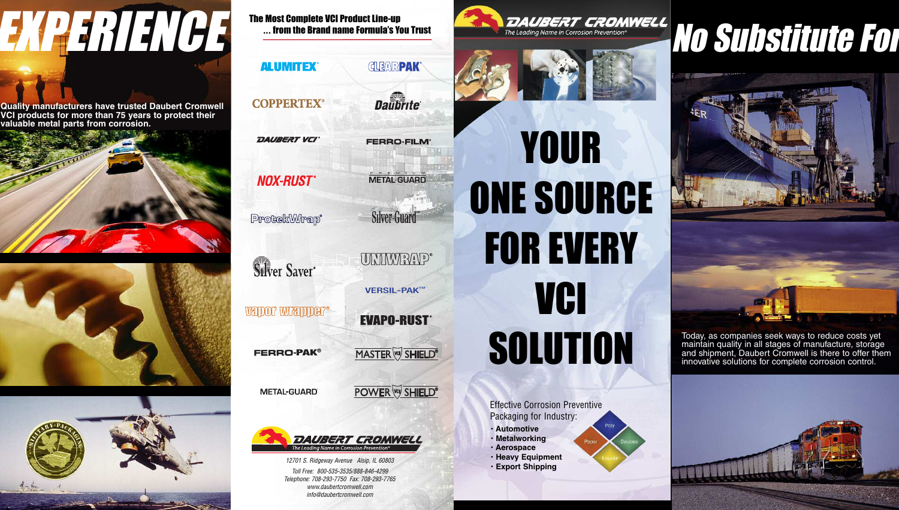*info@daubertcromwell.com*



## YOUR ONE SOURCE **FOR EVERY VCI** SOLUTION

Effective Corrosion Preventive Packaging for Industry:

- **• Automotive**
- **• Metalworking**
- **• Aerospace**
- **• Heavy Equipment**
- **• Export Shipping**

The Most Complete VCI Product Line-up **...** from the Brand name Formula's You Trust

# EXPERIENCE Nost Complete VCI Product Line-up<br>And the Leading Name in Corrossion Prevention<sup>s</sup><br>And Substitute Formula is to the Brand name Formula's You Trust<br>And Substitute Formula is the Substitute of the Substitute of th

**Quality manufacturers have trusted Daubert Cromwell VCI products for more than 75 years to protect their valuable metal parts from corrosion.**







Today, as companies seek ways to reduce costs yet maintain quality in all stages of manufacture, storage and shipment, Daubert Cromwell is there to offer them innovative solutions for complete corrosion control.